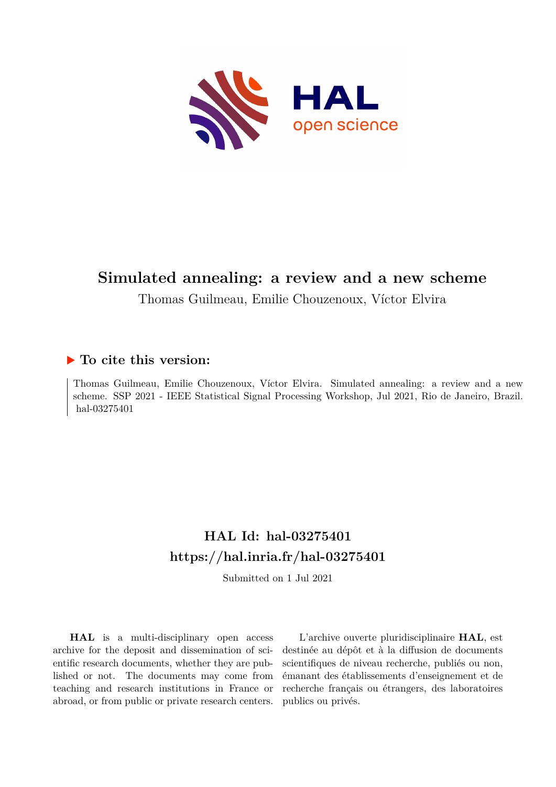

# **Simulated annealing: a review and a new scheme**

Thomas Guilmeau, Emilie Chouzenoux, Víctor Elvira

# **To cite this version:**

Thomas Guilmeau, Emilie Chouzenoux, Víctor Elvira. Simulated annealing: a review and a new scheme. SSP 2021 - IEEE Statistical Signal Processing Workshop, Jul 2021, Rio de Janeiro, Brazil. hal-03275401

# **HAL Id: hal-03275401 <https://hal.inria.fr/hal-03275401>**

Submitted on 1 Jul 2021

**HAL** is a multi-disciplinary open access archive for the deposit and dissemination of scientific research documents, whether they are published or not. The documents may come from teaching and research institutions in France or abroad, or from public or private research centers.

L'archive ouverte pluridisciplinaire **HAL**, est destinée au dépôt et à la diffusion de documents scientifiques de niveau recherche, publiés ou non, émanant des établissements d'enseignement et de recherche français ou étrangers, des laboratoires publics ou privés.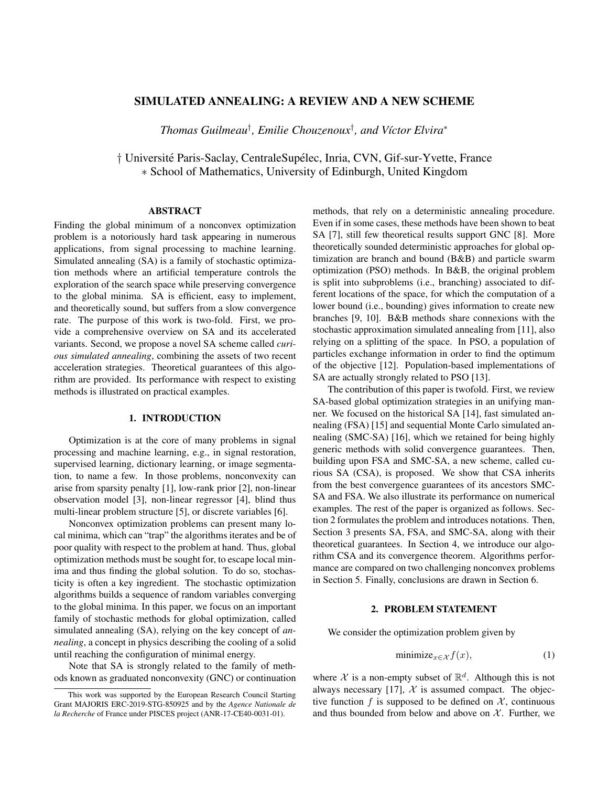# SIMULATED ANNEALING: A REVIEW AND A NEW SCHEME

*Thomas Guilmeau*† *, Emilie Chouzenoux*† *, and V´ıctor Elvira*<sup>∗</sup>

† Université Paris-Saclay, CentraleSupélec, Inria, CVN, Gif-sur-Yvette, France ∗ School of Mathematics, University of Edinburgh, United Kingdom

# ABSTRACT

Finding the global minimum of a nonconvex optimization problem is a notoriously hard task appearing in numerous applications, from signal processing to machine learning. Simulated annealing (SA) is a family of stochastic optimization methods where an artificial temperature controls the exploration of the search space while preserving convergence to the global minima. SA is efficient, easy to implement, and theoretically sound, but suffers from a slow convergence rate. The purpose of this work is two-fold. First, we provide a comprehensive overview on SA and its accelerated variants. Second, we propose a novel SA scheme called *curious simulated annealing*, combining the assets of two recent acceleration strategies. Theoretical guarantees of this algorithm are provided. Its performance with respect to existing methods is illustrated on practical examples.

# 1. INTRODUCTION

Optimization is at the core of many problems in signal processing and machine learning, e.g., in signal restoration, supervised learning, dictionary learning, or image segmentation, to name a few. In those problems, nonconvexity can arise from sparsity penalty [1], low-rank prior [2], non-linear observation model [3], non-linear regressor [4], blind thus multi-linear problem structure [5], or discrete variables [6].

Nonconvex optimization problems can present many local minima, which can "trap" the algorithms iterates and be of poor quality with respect to the problem at hand. Thus, global optimization methods must be sought for, to escape local minima and thus finding the global solution. To do so, stochasticity is often a key ingredient. The stochastic optimization algorithms builds a sequence of random variables converging to the global minima. In this paper, we focus on an important family of stochastic methods for global optimization, called simulated annealing (SA), relying on the key concept of *annealing*, a concept in physics describing the cooling of a solid until reaching the configuration of minimal energy.

Note that SA is strongly related to the family of methods known as graduated nonconvexity (GNC) or continuation methods, that rely on a deterministic annealing procedure. Even if in some cases, these methods have been shown to beat SA [7], still few theoretical results support GNC [8]. More theoretically sounded deterministic approaches for global optimization are branch and bound (B&B) and particle swarm optimization (PSO) methods. In B&B, the original problem is split into subproblems (i.e., branching) associated to different locations of the space, for which the computation of a lower bound (i.e., bounding) gives information to create new branches [9, 10]. B&B methods share connexions with the stochastic approximation simulated annealing from [11], also relying on a splitting of the space. In PSO, a population of particles exchange information in order to find the optimum of the objective [12]. Population-based implementations of SA are actually strongly related to PSO [13].

The contribution of this paper is twofold. First, we review SA-based global optimization strategies in an unifying manner. We focused on the historical SA [14], fast simulated annealing (FSA) [15] and sequential Monte Carlo simulated annealing (SMC-SA) [16], which we retained for being highly generic methods with solid convergence guarantees. Then, building upon FSA and SMC-SA, a new scheme, called curious SA (CSA), is proposed. We show that CSA inherits from the best convergence guarantees of its ancestors SMC-SA and FSA. We also illustrate its performance on numerical examples. The rest of the paper is organized as follows. Section 2 formulates the problem and introduces notations. Then, Section 3 presents SA, FSA, and SMC-SA, along with their theoretical guarantees. In Section 4, we introduce our algorithm CSA and its convergence theorem. Algorithms performance are compared on two challenging nonconvex problems in Section 5. Finally, conclusions are drawn in Section 6.

# 2. PROBLEM STATEMENT

We consider the optimization problem given by

$$
\text{minimize}_{x \in \mathcal{X}} f(x), \tag{1}
$$

where X is a non-empty subset of  $\mathbb{R}^d$ . Although this is not always necessary [17],  $\mathcal{X}$  is assumed compact. The objective function f is supposed to be defined on  $X$ , continuous and thus bounded from below and above on  $X$ . Further, we

This work was supported by the European Research Council Starting Grant MAJORIS ERC-2019-STG-850925 and by the *Agence Nationale de la Recherche* of France under PISCES project (ANR-17-CE40-0031-01).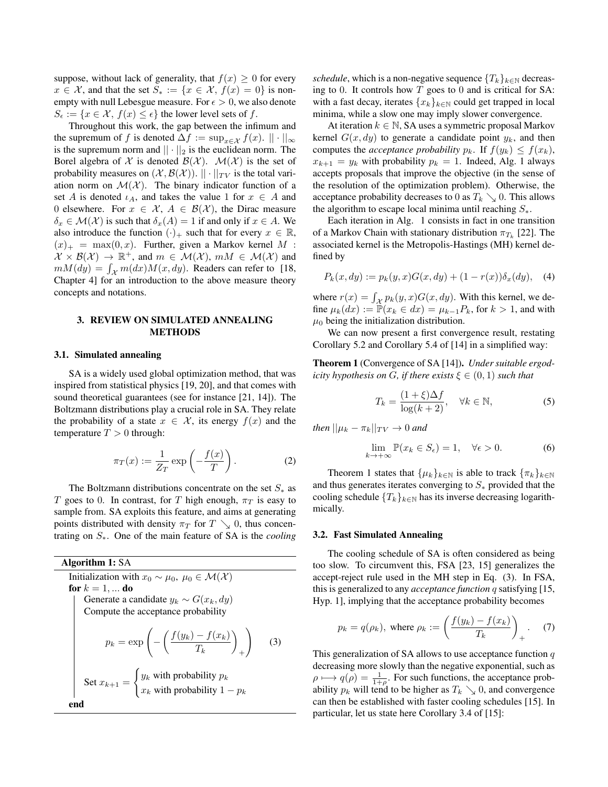suppose, without lack of generality, that  $f(x) \geq 0$  for every  $x \in \mathcal{X}$ , and that the set  $S_* := \{x \in \mathcal{X}, f(x) = 0\}$  is nonempty with null Lebesgue measure. For  $\epsilon > 0$ , we also denote  $S_{\epsilon} := \{x \in \mathcal{X}, f(x) \leq \epsilon\}$  the lower level sets of f.

Throughout this work, the gap between the infimum and the supremum of f is denoted  $\Delta f := \sup_{x \in \mathcal{X}} f(x)$ .  $|| \cdot ||_{\infty}$ is the supremum norm and  $|| \cdot ||_2$  is the euclidean norm. The Borel algebra of X is denoted  $\mathcal{B}(\mathcal{X})$ .  $\mathcal{M}(\mathcal{X})$  is the set of probability measures on  $(\mathcal{X}, \mathcal{B}(\mathcal{X}))$ .  $|| \cdot ||_{TV}$  is the total variation norm on  $\mathcal{M}(\mathcal{X})$ . The binary indicator function of a set A is denoted  $\iota_A$ , and takes the value 1 for  $x \in A$  and 0 elsewhere. For  $x \in \mathcal{X}$ ,  $A \in \mathcal{B}(\mathcal{X})$ , the Dirac measure  $\delta_x \in \mathcal{M}(\mathcal{X})$  is such that  $\delta_x(A) = 1$  if and only if  $x \in A$ . We also introduce the function  $(\cdot)_+$  such that for every  $x \in \mathbb{R}$ ,  $(x)_+$  = max $(0, x)$ . Further, given a Markov kernel M :  $\mathcal{X} \times \mathcal{B}(\mathcal{X}) \to \mathbb{R}^+$ , and  $m \in \mathcal{M}(\mathcal{X})$ ,  $mM \in \mathcal{M}(\mathcal{X})$  and  $mM(dy) = \int_{\mathcal{X}} m(dx)M(x, dy)$ . Readers can refer to [18, Chapter 4] for an introduction to the above measure theory concepts and notations.

# 3. REVIEW ON SIMULATED ANNEALING METHODS

# 3.1. Simulated annealing

SA is a widely used global optimization method, that was inspired from statistical physics [19, 20], and that comes with sound theoretical guarantees (see for instance [21, 14]). The Boltzmann distributions play a crucial role in SA. They relate the probability of a state  $x \in \mathcal{X}$ , its energy  $f(x)$  and the temperature  $T > 0$  through:

$$
\pi_T(x) := \frac{1}{Z_T} \exp\left(-\frac{f(x)}{T}\right). \tag{2}
$$

The Boltzmann distributions concentrate on the set  $S_{\ast}$  as T goes to 0. In contrast, for T high enough,  $\pi_T$  is easy to sample from. SA exploits this feature, and aims at generating points distributed with density  $\pi_T$  for  $T \searrow 0$ , thus concentrating on S∗. One of the main feature of SA is the *cooling*

# Algorithm 1: SA

Initialization with  $x_0 \sim \mu_0$ ,  $\mu_0 \in \mathcal{M}(\mathcal{X})$ for  $k = 1, \dots$  do Generate a candidate  $y_k \sim G(x_k, dy)$ Compute the acceptance probability  $p_k = \exp\left(-\left(\frac{f(y_k) - f(x_k)}{T}\right)\right)$  $T_k$  $\setminus$ +  $\setminus$ (3) Set  $x_{k+1} =$  $\int y_k$  with probability  $p_k$  $x_k$  with probability  $1 - p_k$ end

*schedule*, which is a non-negative sequence  $\{T_k\}_{k\in\mathbb{N}}$  decreasing to 0. It controls how  $T$  goes to 0 and is critical for SA: with a fast decay, iterates  ${x_k}_{k \in \mathbb{N}}$  could get trapped in local minima, while a slow one may imply slower convergence.

At iteration  $k \in \mathbb{N}$ , SA uses a symmetric proposal Markov kernel  $G(x, dy)$  to generate a candidate point  $y_k$ , and then computes the *acceptance probability*  $p_k$ . If  $f(y_k) \leq f(x_k)$ ,  $x_{k+1} = y_k$  with probability  $p_k = 1$ . Indeed, Alg. 1 always accepts proposals that improve the objective (in the sense of the resolution of the optimization problem). Otherwise, the acceptance probability decreases to 0 as  $T_k \searrow 0$ . This allows the algorithm to escape local minima until reaching  $S_{\ast}$ .

Each iteration in Alg. 1 consists in fact in one transition of a Markov Chain with stationary distribution  $\pi_{T_k}$  [22]. The associated kernel is the Metropolis-Hastings (MH) kernel defined by

$$
P_k(x, dy) := p_k(y, x)G(x, dy) + (1 - r(x))\delta_x(dy), \quad (4)
$$

where  $r(x) = \int_{\mathcal{X}} p_k(y, x) G(x, dy)$ . With this kernel, we define  $\mu_k(dx) := \mathbb{P}(x_k \in dx) = \mu_{k-1}P_k$ , for  $k > 1$ , and with  $\mu_0$  being the initialization distribution.

We can now present a first convergence result, restating Corollary 5.2 and Corollary 5.4 of [14] in a simplified way:

Theorem 1 (Convergence of SA [14]). *Under suitable ergodicity hypothesis on G, if there exists*  $\xi \in (0,1)$  *such that* 

$$
T_k = \frac{(1+\xi)\Delta f}{\log(k+2)}, \quad \forall k \in \mathbb{N},\tag{5}
$$

*then*  $||\mu_k - \pi_k||_{TV} \to 0$  *and* 

$$
\lim_{k \to +\infty} \mathbb{P}(x_k \in S_\epsilon) = 1, \quad \forall \epsilon > 0. \tag{6}
$$

Theorem 1 states that  $\{\mu_k\}_{k\in\mathbb{N}}$  is able to track  $\{\pi_k\}_{k\in\mathbb{N}}$ and thus generates iterates converging to  $S_*$  provided that the cooling schedule  ${T_k}_{k \in \mathbb{N}}$  has its inverse decreasing logarithmically.

#### 3.2. Fast Simulated Annealing

The cooling schedule of SA is often considered as being too slow. To circumvent this, FSA [23, 15] generalizes the accept-reject rule used in the MH step in Eq. (3). In FSA, this is generalized to any *acceptance function* q satisfying [15, Hyp. 1], implying that the acceptance probability becomes

$$
p_k = q(\rho_k), \text{ where } \rho_k := \left(\frac{f(y_k) - f(x_k)}{T_k}\right)_+ . \tag{7}
$$

This generalization of SA allows to use acceptance function  $q$ decreasing more slowly than the negative exponential, such as  $\rho \mapsto q(\rho) = \frac{1}{1+\rho}$ . For such functions, the acceptance probability  $p_k$  will tend to be higher as  $T_k \searrow 0$ , and convergence can then be established with faster cooling schedules [15]. In particular, let us state here Corollary 3.4 of [15]: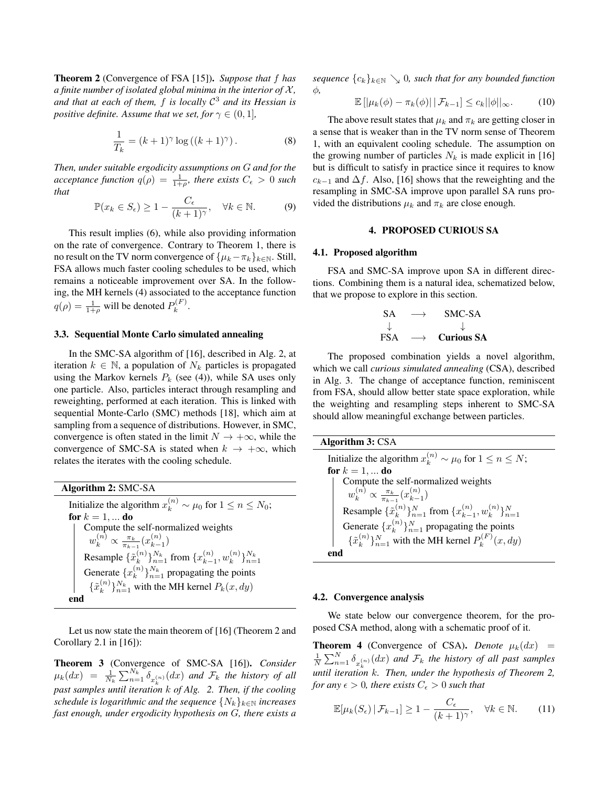Theorem 2 (Convergence of FSA [15]). *Suppose that* f *has a finite number of isolated global minima in the interior of*  $X$ *, and that at each of them,* f *is locally* C <sup>3</sup> *and its Hessian is positive definite. Assume that we set, for*  $\gamma \in (0, 1]$ *,* 

$$
\frac{1}{T_k} = (k+1)^{\gamma} \log \left( (k+1)^{\gamma} \right). \tag{8}
$$

*Then, under suitable ergodicity assumptions on* G *and for the acceptance function*  $q(\rho) = \frac{1}{1+\rho}$ , there exists  $C_{\epsilon} > 0$  such *that*

$$
\mathbb{P}(x_k \in S_\epsilon) \ge 1 - \frac{C_\epsilon}{(k+1)^\gamma}, \quad \forall k \in \mathbb{N}.\tag{9}
$$

This result implies (6), while also providing information on the rate of convergence. Contrary to Theorem 1, there is no result on the TV norm convergence of  $\{\mu_k - \pi_k\}_{k \in \mathbb{N}}$ . Still, FSA allows much faster cooling schedules to be used, which remains a noticeable improvement over SA. In the following, the MH kernels (4) associated to the acceptance function  $q(\rho) = \frac{1}{1+\rho}$  will be denoted  $P_k^{(F)}$  $k^{(T)}$ .

# 3.3. Sequential Monte Carlo simulated annealing

In the SMC-SA algorithm of [16], described in Alg. 2, at iteration  $k \in \mathbb{N}$ , a population of  $N_k$  particles is propagated using the Markov kernels  $P_k$  (see (4)), while SA uses only one particle. Also, particles interact through resampling and reweighting, performed at each iteration. This is linked with sequential Monte-Carlo (SMC) methods [18], which aim at sampling from a sequence of distributions. However, in SMC, convergence is often stated in the limit  $N \to +\infty$ , while the convergence of SMC-SA is stated when  $k \to +\infty$ , which relates the iterates with the cooling schedule.

Algorithm 2: SMC-SA Initialize the algorithm  $x_k^{(n)} \sim \mu_0$  for  $1 \le n \le N_0$ ; for  $k = 1, ...$  do Compute the self-normalized weights  $w_k^{(n)} \propto \frac{\pi_k}{\pi_{k-1}} (x_{k-1}^{(n)}$  $\binom{n}{k-1}$ Resample  $\{\tilde{x}_k^{(n)}\}$  $\binom{n}{k}$   $\}_{n=1}^{N_k}$  from  $\{x_{k-1}^{(n)}\}$  $\binom{n}{k-1}$ ,  $w_k^{(n)}$  $\{n\}\}_{n=1}^{N_k}$ Generate  $\{x_k^{(n)}\}$  ${k \choose k}$   $\}_{n=1}^{N_k}$  propagating the points  $\{\tilde{x}_{k}^{(n)}\}$  ${k \choose k}_{n=1}^{N_k}$  with the MH kernel  $P_k(x, dy)$ end

Let us now state the main theorem of [16] (Theorem 2 and Corollary 2.1 in  $[16]$ :

Theorem 3 (Convergence of SMC-SA [16]). *Consider*  $\mu_k(dx) = \frac{1}{N_k} \sum_{n=1}^{N_k} \delta_{x_k^{(n)}}(dx)$  and  $\mathcal{F}_k$  the history of all *past samples until iteration* k *of Alg. 2. Then, if the cooling schedule is logarithmic and the sequence*  $\{N_k\}_{k\in\mathbb{N}}$  *increases fast enough, under ergodicity hypothesis on* G*, there exists a*

*sequence*  ${c_k}_{k \in \mathbb{N}} \setminus 0$ , such that for any bounded function φ*,*

$$
\mathbb{E}\left[\left|\mu_k(\phi)-\pi_k(\phi)\right|\left|\mathcal{F}_{k-1}\right]\leq c_k||\phi||_{\infty}.\tag{10}
$$

The above result states that  $\mu_k$  and  $\pi_k$  are getting closer in a sense that is weaker than in the TV norm sense of Theorem 1, with an equivalent cooling schedule. The assumption on the growing number of particles  $N_k$  is made explicit in [16] but is difficult to satisfy in practice since it requires to know  $c_{k-1}$  and  $\Delta f$ . Also, [16] shows that the reweighting and the resampling in SMC-SA improve upon parallel SA runs provided the distributions  $\mu_k$  and  $\pi_k$  are close enough.

# 4. PROPOSED CURIOUS SA

#### 4.1. Proposed algorithm

FSA and SMC-SA improve upon SA in different directions. Combining them is a natural idea, schematized below, that we propose to explore in this section.

$$
\begin{array}{ccc}\nSA & \longrightarrow & SMC-SA \\
\downarrow & & \downarrow \\
FSA & \longrightarrow & Curious SA\n\end{array}
$$

The proposed combination yields a novel algorithm, which we call *curious simulated annealing* (CSA), described in Alg. 3. The change of acceptance function, reminiscent from FSA, should allow better state space exploration, while the weighting and resampling steps inherent to SMC-SA should allow meaningful exchange between particles.

| <b>Algorithm 3: CSA</b>                                                                           |
|---------------------------------------------------------------------------------------------------|
| Initialize the algorithm $x_k^{(n)} \sim \mu_0$ for $1 \le n \le N$ ;                             |
| for $k = 1, $ do                                                                                  |
|                                                                                                   |
| Compute the self-normalized weights<br>$w_k^{(n)} \propto \frac{\pi_k}{\pi_{k-1}}(x_{k-1}^{(n)})$ |
| Resample $\{\tilde{x}_{k}^{(n)}\}_{n=1}^{N}$ from $\{x_{k-1}^{(n)}, w_{k}^{(n)}\}_{n=1}^{N}$      |
| Generate $\{x_k^{(n)}\}_{n=1}^N$ propagating the points                                           |
| $\{\tilde{x}_{k}^{(n)}\}_{n=1}^{N}$ with the MH kernel $P_{k}^{(F)}(x, dy)$                       |
| end                                                                                               |

#### 4.2. Convergence analysis

We state below our convergence theorem, for the proposed CSA method, along with a schematic proof of it.

**Theorem 4** (Convergence of CSA). *Denote*  $\mu_k(dx)$  =  $\frac{1}{N}\sum_{n=1}^{N}\delta_{x_{k}^{(n)}}(dx)$  and  $\mathcal{F}_{k}$  the history of all past samples  $\overline{f}$  and  $\overline{f}$  is  $\overline{f}$  is  $\overline{f}$  is  $\overline{f}$  is  $\overline{f}$  is  $\overline{f}$  is  $\overline{f}$  is  $\overline{f}$  is  $\overline{f}$  is  $\overline{f}$  is  $\overline{f}$  is  $\overline{f}$  is  $\overline{f}$  is  $\overline{f}$  is  $\overline{f}$  is  $\overline{f}$  is  $\overline{f}$  is  $\overline$ *for any*  $\epsilon > 0$ *, there exists*  $C_{\epsilon} > 0$  *such that* 

$$
\mathbb{E}[\mu_k(S_{\epsilon}) \,|\, \mathcal{F}_{k-1}] \ge 1 - \frac{C_{\epsilon}}{(k+1)^{\gamma}}, \quad \forall k \in \mathbb{N}.
$$
 (11)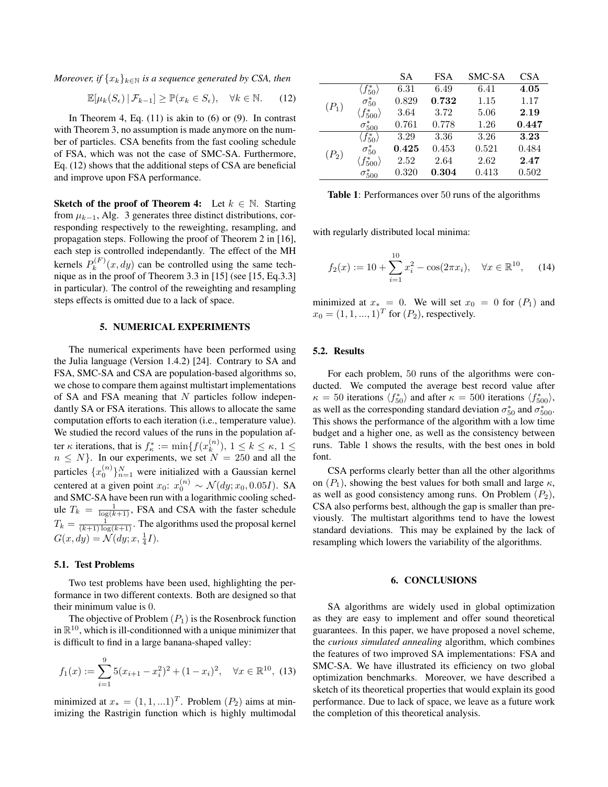*Moreover, if*  ${x_k}_{k \in \mathbb{N}}$  *is a sequence generated by CSA, then* 

$$
\mathbb{E}[\mu_k(S_\epsilon) \,|\, \mathcal{F}_{k-1}] \ge \mathbb{P}(x_k \in S_\epsilon), \quad \forall k \in \mathbb{N}.\tag{12}
$$

In Theorem 4, Eq.  $(11)$  is akin to  $(6)$  or  $(9)$ . In contrast with Theorem 3, no assumption is made anymore on the number of particles. CSA benefits from the fast cooling schedule of FSA, which was not the case of SMC-SA. Furthermore, Eq. (12) shows that the additional steps of CSA are beneficial and improve upon FSA performance.

**Sketch of the proof of Theorem 4:** Let  $k \in \mathbb{N}$ . Starting from  $\mu_{k-1}$ , Alg. 3 generates three distinct distributions, corresponding respectively to the reweighting, resampling, and propagation steps. Following the proof of Theorem 2 in [16], each step is controlled independantly. The effect of the MH kernels  $P_k^{(F)}$  $k_k^{(P)}(x, dy)$  can be controlled using the same technique as in the proof of Theorem 3.3 in [15] (see [15, Eq.3.3] in particular). The control of the reweighting and resampling steps effects is omitted due to a lack of space.

# 5. NUMERICAL EXPERIMENTS

The numerical experiments have been performed using the Julia language (Version 1.4.2) [24]. Contrary to SA and FSA, SMC-SA and CSA are population-based algorithms so, we chose to compare them against multistart implementations of SA and FSA meaning that  $N$  particles follow independantly SA or FSA iterations. This allows to allocate the same computation efforts to each iteration (i.e., temperature value). We studied the record values of the runs in the population after  $\kappa$  iterations, that is  $f_{\kappa}^* := \min \{ f(x_k^{(n)} \})$  $\binom{n}{k}, 1 \leq k \leq \kappa, 1 \leq$  $n \leq N$ . In our experiments, we set  $N = 250$  and all the particles  $\{x_0^{(n)}\}_{n=1}^N$  were initialized with a Gaussian kernel centered at a given point  $x_0$ :  $x_0^{(n)} \sim \mathcal{N}(dy; x_0, 0.05I)$ . SA and SMC-SA have been run with a logarithmic cooling schedule  $T_k = \frac{1}{\log(k+1)}$ , FSA and CSA with the faster schedule  $T_k = \frac{1}{(k+1)\log(k+1)}$ . The algorithms used the proposal kernel  $G(x, dy) = \mathcal{N}(dy; x, \frac{1}{4}I).$ 

#### 5.1. Test Problems

Two test problems have been used, highlighting the performance in two different contexts. Both are designed so that their minimum value is 0.

The objective of Problem  $(P_1)$  is the Rosenbrock function in  $\mathbb{R}^{10}$ , which is ill-conditionned with a unique minimizer that is difficult to find in a large banana-shaped valley:

$$
f_1(x) := \sum_{i=1}^{9} 5(x_{i+1} - x_i^2)^2 + (1 - x_i)^2, \quad \forall x \in \mathbb{R}^{10},
$$
 (13)

minimized at  $x_* = (1, 1, ...1)^T$ . Problem  $(P_2)$  aims at minimizing the Rastrigin function which is highly multimodal

|         |                             | SА    | <b>FSA</b> | SMC-SA | <b>CSA</b> |
|---------|-----------------------------|-------|------------|--------|------------|
| $(P_1)$ | $\langle f_{50}^* \rangle$  | 6.31  | 6.49       | 6.41   | 4.05       |
|         | $\sigma_{50}^*$             | 0.829 | 0.732      | 1.15   | 1.17       |
|         | $\langle f^*_{500} \rangle$ | 3.64  | 3.72       | 5.06   | 2.19       |
|         | $\sigma_{500}^{*}$          | 0.761 | 0.778      | 1.26   | 0.447      |
| $(P_2)$ | $\langle f_{50}^* \rangle$  | 3.29  | 3.36       | 3.26   | 3.23       |
|         | $\sigma_{50}^*$             | 0.425 | 0.453      | 0.521  | 0.484      |
|         | $\langle f^*_{500}\rangle$  | 2.52  | 2.64       | 2.62   | 2.47       |
|         | $\sigma_{500}^{*}$          | 0.320 | 0.304      | 0.413  | 0.502      |

Table 1: Performances over 50 runs of the algorithms

with regularly distributed local minima:

$$
f_2(x) := 10 + \sum_{i=1}^{10} x_i^2 - \cos(2\pi x_i), \quad \forall x \in \mathbb{R}^{10}, \quad (14)
$$

minimized at  $x_* = 0$ . We will set  $x_0 = 0$  for  $(P_1)$  and  $x_0 = (1, 1, ..., 1)^T$  for  $(P_2)$ , respectively.

# 5.2. Results

For each problem, 50 runs of the algorithms were conducted. We computed the average best record value after  $\kappa = 50$  iterations  $\langle f_{50}^* \rangle$  and after  $\kappa = 500$  iterations  $\langle f_{500}^* \rangle$ , as well as the corresponding standard deviation  $\sigma_{50}^*$  and  $\sigma_{500}^*$ . This shows the performance of the algorithm with a low time budget and a higher one, as well as the consistency between runs. Table 1 shows the results, with the best ones in bold font.

CSA performs clearly better than all the other algorithms on  $(P_1)$ , showing the best values for both small and large  $\kappa$ , as well as good consistency among runs. On Problem  $(P_2)$ , CSA also performs best, although the gap is smaller than previously. The multistart algorithms tend to have the lowest standard deviations. This may be explained by the lack of resampling which lowers the variability of the algorithms.

#### 6. CONCLUSIONS

SA algorithms are widely used in global optimization as they are easy to implement and offer sound theoretical guarantees. In this paper, we have proposed a novel scheme, the *curious simulated annealing* algorithm, which combines the features of two improved SA implementations: FSA and SMC-SA. We have illustrated its efficiency on two global optimization benchmarks. Moreover, we have described a sketch of its theoretical properties that would explain its good performance. Due to lack of space, we leave as a future work the completion of this theoretical analysis.